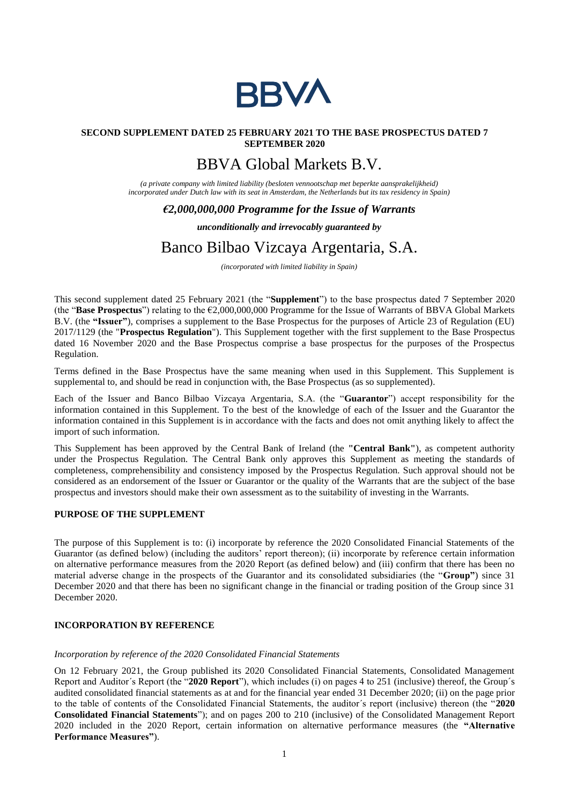

### **SECOND SUPPLEMENT DATED 25 FEBRUARY 2021 TO THE BASE PROSPECTUS DATED 7 SEPTEMBER 2020**

# BBVA Global Markets B.V.

*(a private company with limited liability (besloten vennootschap met beperkte aansprakelijkheid) incorporated under Dutch law with its seat in Amsterdam, the Netherlands but its tax residency in Spain)*

# *€2,000,000,000 Programme for the Issue of Warrants*

### *unconditionally and irrevocably guaranteed by*

# Banco Bilbao Vizcaya Argentaria, S.A.

*(incorporated with limited liability in Spain)*

This second supplement dated 25 February 2021 (the "**Supplement**") to the base prospectus dated 7 September 2020 (the "**Base Prospectus**") relating to the €2,000,000,000 Programme for the Issue of Warrants of BBVA Global Markets B.V. (the **"Issuer"**), comprises a supplement to the Base Prospectus for the purposes of Article 23 of Regulation (EU) 2017/1129 (the "**Prospectus Regulation**"). This Supplement together with the first supplement to the Base Prospectus dated 16 November 2020 and the Base Prospectus comprise a base prospectus for the purposes of the Prospectus Regulation.

Terms defined in the Base Prospectus have the same meaning when used in this Supplement. This Supplement is supplemental to, and should be read in conjunction with, the Base Prospectus (as so supplemented).

Each of the Issuer and Banco Bilbao Vizcaya Argentaria, S.A. (the "**Guarantor**") accept responsibility for the information contained in this Supplement. To the best of the knowledge of each of the Issuer and the Guarantor the information contained in this Supplement is in accordance with the facts and does not omit anything likely to affect the import of such information.

This Supplement has been approved by the Central Bank of Ireland (the **"Central Bank"**), as competent authority under the Prospectus Regulation. The Central Bank only approves this Supplement as meeting the standards of completeness, comprehensibility and consistency imposed by the Prospectus Regulation. Such approval should not be considered as an endorsement of the Issuer or Guarantor or the quality of the Warrants that are the subject of the base prospectus and investors should make their own assessment as to the suitability of investing in the Warrants.

#### **PURPOSE OF THE SUPPLEMENT**

The purpose of this Supplement is to: (i) incorporate by reference the 2020 Consolidated Financial Statements of the Guarantor (as defined below) (including the auditors' report thereon); (ii) incorporate by reference certain information on alternative performance measures from the 2020 Report (as defined below) and (iii) confirm that there has been no material adverse change in the prospects of the Guarantor and its consolidated subsidiaries (the "**Group"**) since 31 December 2020 and that there has been no significant change in the financial or trading position of the Group since 31 December 2020.

## **INCORPORATION BY REFERENCE**

#### *Incorporation by reference of the 2020 Consolidated Financial Statements*

On 12 February 2021, the Group published its 2020 Consolidated Financial Statements, Consolidated Management Report and Auditor´s Report (the "**2020 Report**"), which includes (i) on pages 4 to 251 (inclusive) thereof, the Group´s audited consolidated financial statements as at and for the financial year ended 31 December 2020; (ii) on the page prior to the table of contents of the Consolidated Financial Statements, the auditor´s report (inclusive) thereon (the "**2020 Consolidated Financial Statements**"); and on pages 200 to 210 (inclusive) of the Consolidated Management Report 2020 included in the 2020 Report, certain information on alternative performance measures (the **"Alternative Performance Measures"**).